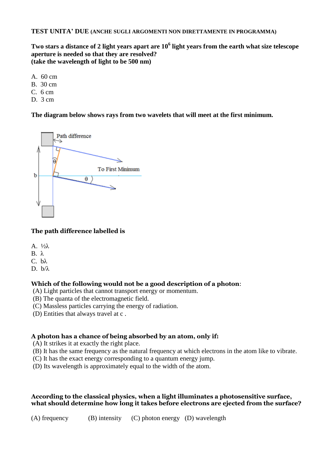# **TEST UNITA' DUE (ANCHE SUGLI ARGOMENTI NON DIRETTAMENTE IN PROGRAMMA)**

**Two stars a distance of 2 light years apart are 10<sup>6</sup> light years from the earth what size telescope aperture is needed so that they are resolved? (take the wavelength of light to be 500 nm)** 

- A. 60 cm
- B. 30 cm
- $C. 6 cm$
- D. 3 cm

**The diagram below shows rays from two wavelets that will meet at the first minimum.** 



# **The path difference labelled is**

- A. ½λ
- $B$ . λ
- C. bλ
- $D-h/\lambda$

# **Which of the following would not be a good description of a photon**:

- (A) Light particles that cannot transport energy or momentum.
- (B) The quanta of the electromagnetic field.
- (C) Massless particles carrying the energy of radiation.
- (D) Entities that always travel at c .

# **A photon has a chance of being absorbed by an atom, only if:**

(A) It strikes it at exactly the right place.

- (B) It has the same frequency as the natural frequency at which electrons in the atom like to vibrate.
- (C) It has the exact energy corresponding to a quantum energy jump.
- (D) Its wavelength is approximately equal to the width of the atom.

# **According to the classical physics, when a light illuminates a photosensitive surface, what should determine how long it takes before electrons are ejected from the surface?**

(A) frequency (B) intensity (C) photon energy (D) wavelength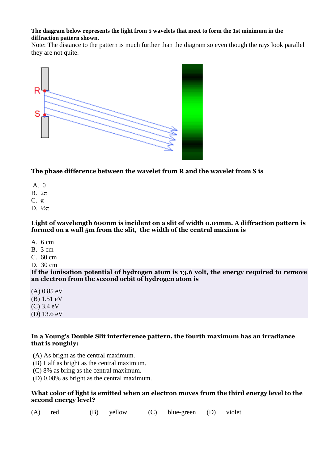#### **The diagram below represents the light from 5 wavelets that meet to form the 1st minimum in the diffraction pattern shown.**

Note: The distance to the pattern is much further than the diagram so even though the rays look parallel they are not quite.



# **The phase difference between the wavelet from R and the wavelet from S is**

- $A \cdot 0$
- B. 2π
- C.  $\pi$
- D.  $\frac{1}{2}$ π

### Light of wavelength 600nm is incident on a slit of width 0.01mm. A diffraction pattern is **formed on a wall 5m from the slit, the width of the central maxima is**

- A. 6 cm
- B. 3 cm
- C. 60 cm
- D. 30 cm

**If the ionisation potential of hydrogen atom is 13.6 volt, the energy required to remove an electron from the second orbit of hydrogen atom is**

- (A) 0.85 eV
- (B) 1.51 eV
- (C) 3.4 eV
- (D) 13.6 eV

# **In a Young's Double Slit interference pattern, the fourth maximum has an irradiance that is roughly:**

- (A) As bright as the central maximum.
- (B) Half as bright as the central maximum.
- (C) 8% as bring as the central maximum.
- (D) 0.08% as bright as the central maximum.

# **What color of light is emitted when an electron moves from the third energy level to the second energy level?**

(A) red (B) yellow (C) blue-green (D) violet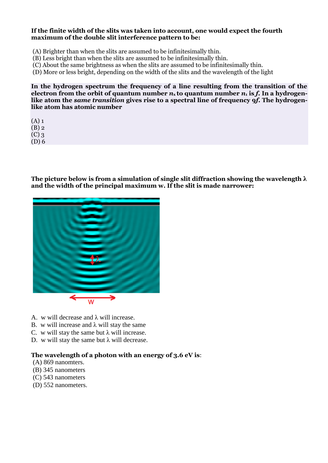#### **If the finite width of the slits was taken into account, one would expect the fourth maximum of the double slit interference pattern to be:**

- (A) Brighter than when the slits are assumed to be infinitesimally thin.
- (B) Less bright than when the slits are assumed to be infinitesimally thin.
- (C) About the same brightness as when the slits are assumed to be infinitesimally thin.
- (D) More or less bright, depending on the width of the slits and the wavelength of the light

**In the hydrogen spectrum the frequency of a line resulting from the transition of the**  electron from the orbit of quantum number  $n_x$  to quantum number  $n_1$  is f. In a hydrogen**like atom the** *same transition* **gives rise to a spectral line of frequency 9***f***. The hydrogenlike atom has atomic number** 

 $(A)$  1

(B) 2

(C) 3 (D) 6

**The picture below is from a simulation of single slit diffraction showing the wavelength λ and the width of the principal maximum w. If the slit is made narrower:**



- A. w will decrease and λ will increase.
- B. w will increase and  $\lambda$  will stay the same
- C. w will stay the same but  $\lambda$  will increase.
- D. w will stay the same but  $\lambda$  will decrease.

# **The wavelength of a photon with an energy of 3.6 eV is**:

- (A) 869 nanomters.
- (B) 345 nanometers
- (C) 543 nanometers
- (D) 552 nanometers.